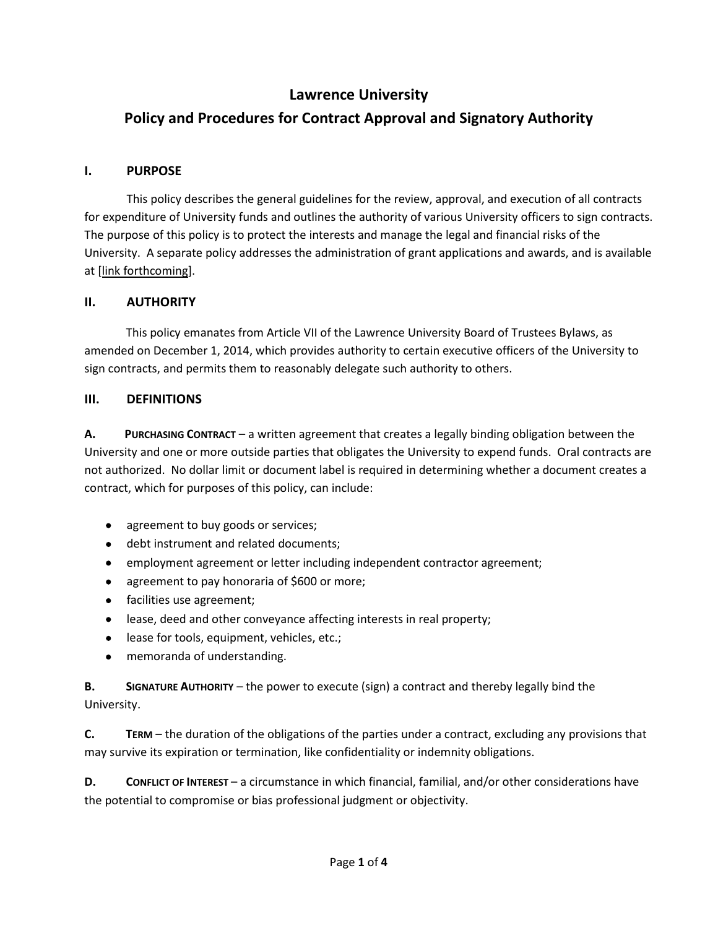## **Lawrence University**

# **Policy and Procedures for Contract Approval and Signatory Authority**

## **I. PURPOSE**

This policy describes the general guidelines for the review, approval, and execution of all contracts for expenditure of University funds and outlines the authority of various University officers to sign contracts. The purpose of this policy is to protect the interests and manage the legal and financial risks of the University. A separate policy addresses the administration of grant applications and awards, and is available at [link forthcoming].

## **II. AUTHORITY**

 This policy emanates from Article VII of the Lawrence University Board of Trustees Bylaws, as amended on December 1, 2014, which provides authority to certain executive officers of the University to sign contracts, and permits them to reasonably delegate such authority to others.

## **III. DEFINITIONS**

**A. PURCHASING CONTRACT** – a written agreement that creates a legally binding obligation between the University and one or more outside parties that obligates the University to expend funds. Oral contracts are not authorized. No dollar limit or document label is required in determining whether a document creates a contract, which for purposes of this policy, can include:

- agreement to buy goods or services;
- debt instrument and related documents;
- employment agreement or letter including independent contractor agreement;
- agreement to pay honoraria of \$600 or more;
- facilities use agreement;
- lease, deed and other conveyance affecting interests in real property;
- lease for tools, equipment, vehicles, etc.;
- memoranda of understanding.

**B. SIGNATURE AUTHORITY** – the power to execute (sign) a contract and thereby legally bind the University.

**C. TERM** – the duration of the obligations of the parties under a contract, excluding any provisions that may survive its expiration or termination, like confidentiality or indemnity obligations.

**D. CONFLICT OF INTEREST** – a circumstance in which financial, familial, and/or other considerations have the potential to compromise or bias professional judgment or objectivity.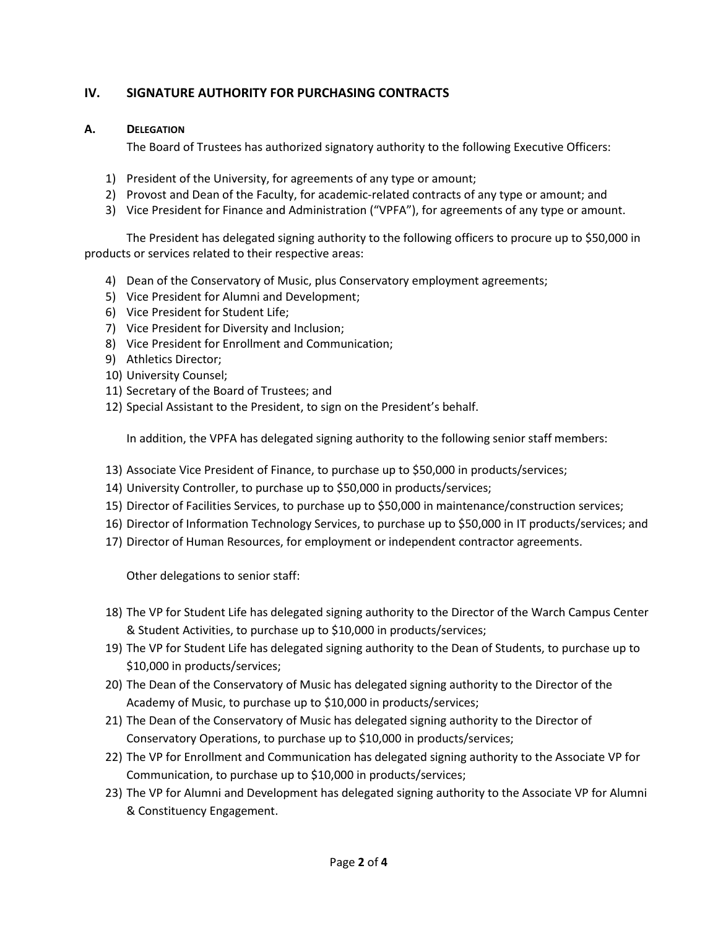## **IV. SIGNATURE AUTHORITY FOR PURCHASING CONTRACTS**

### **A. DELEGATION**

The Board of Trustees has authorized signatory authority to the following Executive Officers:

- 1) President of the University, for agreements of any type or amount;
- 2) Provost and Dean of the Faculty, for academic-related contracts of any type or amount; and
- 3) Vice President for Finance and Administration ("VPFA"), for agreements of any type or amount.

The President has delegated signing authority to the following officers to procure up to \$50,000 in products or services related to their respective areas:

- 4) Dean of the Conservatory of Music, plus Conservatory employment agreements;
- 5) Vice President for Alumni and Development;
- 6) Vice President for Student Life;
- 7) Vice President for Diversity and Inclusion;
- 8) Vice President for Enrollment and Communication;
- 9) Athletics Director;
- 10) University Counsel;
- 11) Secretary of the Board of Trustees; and
- 12) Special Assistant to the President, to sign on the President's behalf.

In addition, the VPFA has delegated signing authority to the following senior staff members:

- 13) Associate Vice President of Finance, to purchase up to \$50,000 in products/services;
- 14) University Controller, to purchase up to \$50,000 in products/services;
- 15) Director of Facilities Services, to purchase up to \$50,000 in maintenance/construction services;
- 16) Director of Information Technology Services, to purchase up to \$50,000 in IT products/services; and
- 17) Director of Human Resources, for employment or independent contractor agreements.

Other delegations to senior staff:

- 18) The VP for Student Life has delegated signing authority to the Director of the Warch Campus Center & Student Activities, to purchase up to \$10,000 in products/services;
- 19) The VP for Student Life has delegated signing authority to the Dean of Students, to purchase up to \$10,000 in products/services;
- 20) The Dean of the Conservatory of Music has delegated signing authority to the Director of the Academy of Music, to purchase up to \$10,000 in products/services;
- 21) The Dean of the Conservatory of Music has delegated signing authority to the Director of Conservatory Operations, to purchase up to \$10,000 in products/services;
- 22) The VP for Enrollment and Communication has delegated signing authority to the Associate VP for Communication, to purchase up to \$10,000 in products/services;
- 23) The VP for Alumni and Development has delegated signing authority to the Associate VP for Alumni & Constituency Engagement.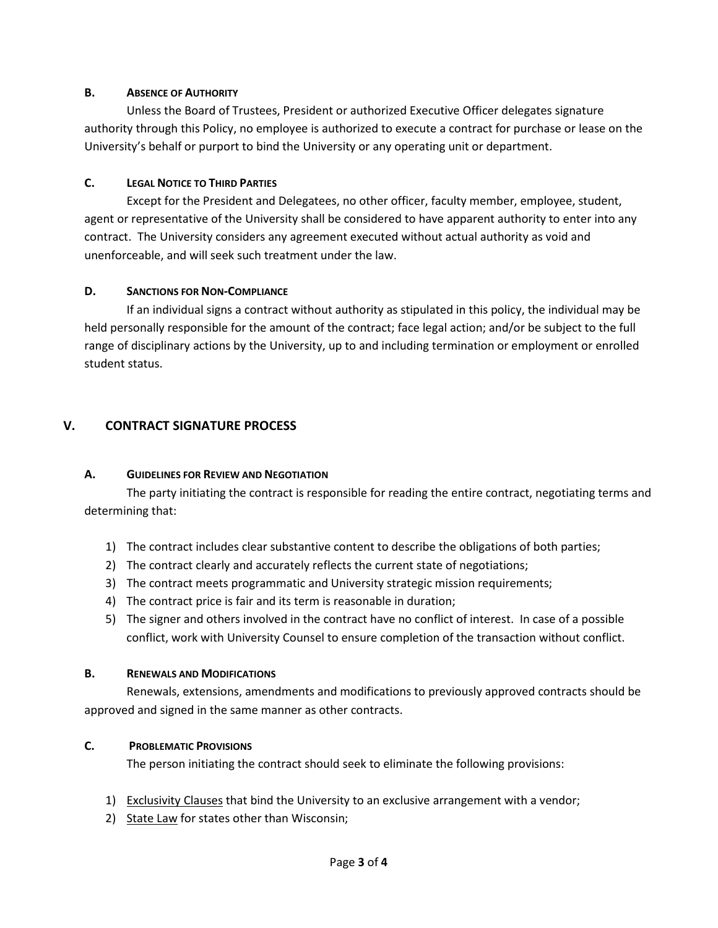#### **B. ABSENCE OF AUTHORITY**

Unless the Board of Trustees, President or authorized Executive Officer delegates signature authority through this Policy, no employee is authorized to execute a contract for purchase or lease on the University's behalf or purport to bind the University or any operating unit or department.

#### **C. LEGAL NOTICE TO THIRD PARTIES**

Except for the President and Delegatees, no other officer, faculty member, employee, student, agent or representative of the University shall be considered to have apparent authority to enter into any contract. The University considers any agreement executed without actual authority as void and unenforceable, and will seek such treatment under the law.

#### **D. SANCTIONS FOR NON-COMPLIANCE**

If an individual signs a contract without authority as stipulated in this policy, the individual may be held personally responsible for the amount of the contract; face legal action; and/or be subject to the full range of disciplinary actions by the University, up to and including termination or employment or enrolled student status.

## **V. CONTRACT SIGNATURE PROCESS**

#### **A. GUIDELINES FOR REVIEW AND NEGOTIATION**

The party initiating the contract is responsible for reading the entire contract, negotiating terms and determining that:

- 1) The contract includes clear substantive content to describe the obligations of both parties;
- 2) The contract clearly and accurately reflects the current state of negotiations;
- 3) The contract meets programmatic and University strategic mission requirements;
- 4) The contract price is fair and its term is reasonable in duration;
- 5) The signer and others involved in the contract have no conflict of interest. In case of a possible conflict, work with University Counsel to ensure completion of the transaction without conflict.

#### **B. RENEWALS AND MODIFICATIONS**

Renewals, extensions, amendments and modifications to previously approved contracts should be approved and signed in the same manner as other contracts.

#### **C. PROBLEMATIC PROVISIONS**

The person initiating the contract should seek to eliminate the following provisions:

- 1) Exclusivity Clauses that bind the University to an exclusive arrangement with a vendor;
- 2) State Law for states other than Wisconsin;